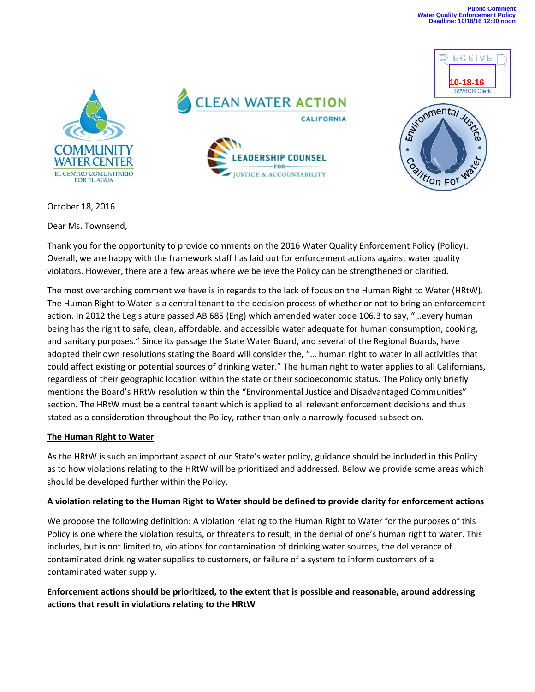ECEIVE



**CLEAN WATER ACTION CALIFORNIA ADERSHIP COUNSEL** FOR-**IUSTICE & ACCOUNTABILITY** 



October 18, 2016

Dear Ms. Townsend,

Thank you for the opportunity to provide comments on the 2016 Water Quality Enforcement Policy (Policy). Overall, we are happy with the framework staff has laid out for enforcement actions against water quality violators. However, there are a few areas where we believe the Policy can be strengthened or clarified.

The most overarching comment we have is in regards to the lack of focus on the Human Right to Water (HRtW). The Human Right to Water is a central tenant to the decision process of whether or not to bring an enforcement action. In 2012 the Legislature passed AB 685 (Eng) which amended water code 106.3 to say, "…every human being has the right to safe, clean, affordable, and accessible water adequate for human consumption, cooking, and sanitary purposes." Since its passage the State Water Board, and several of the Regional Boards, have adopted their own resolutions stating the Board will consider the, "… human right to water in all activities that could affect existing or potential sources of drinking water." The human right to water applies to all Californians, regardless of their geographic location within the state or their socioeconomic status. The Policy only briefly mentions the Board's HRtW resolution within the "Environmental Justice and Disadvantaged Communities" section. The HRtW must be a central tenant which is applied to all relevant enforcement decisions and thus stated as a consideration throughout the Policy, rather than only a narrowly-focused subsection.

#### **The Human Right to Water**

As the HRtW is such an important aspect of our State's water policy, guidance should be included in this Policy as to how violations relating to the HRtW will be prioritized and addressed. Below we provide some areas which should be developed further within the Policy.

### **A violation relating to the Human Right to Water should be defined to provide clarity for enforcement actions**

We propose the following definition: A violation relating to the Human Right to Water for the purposes of this Policy is one where the violation results, or threatens to result, in the denial of one's human right to water. This includes, but is not limited to, violations for contamination of drinking water sources, the deliverance of contaminated drinking water supplies to customers, or failure of a system to inform customers of a contaminated water supply.

# **Enforcement actions should be prioritized, to the extent that is possible and reasonable, around addressing actions that result in violations relating to the HRtW**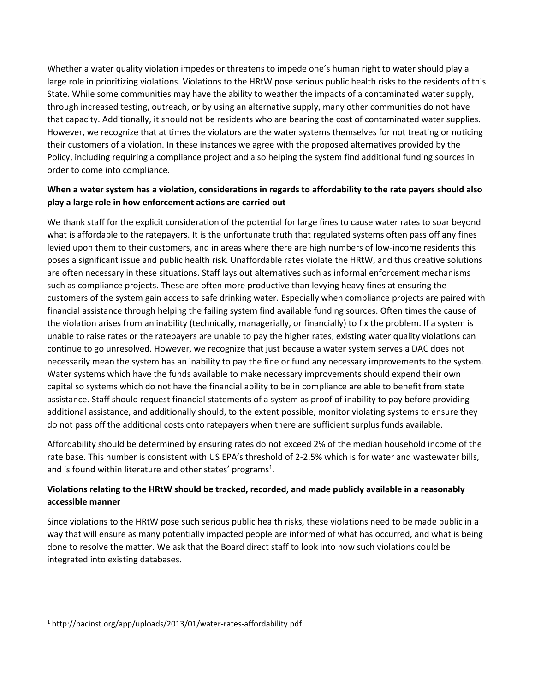Whether a water quality violation impedes or threatens to impede one's human right to water should play a large role in prioritizing violations. Violations to the HRtW pose serious public health risks to the residents of this State. While some communities may have the ability to weather the impacts of a contaminated water supply, through increased testing, outreach, or by using an alternative supply, many other communities do not have that capacity. Additionally, it should not be residents who are bearing the cost of contaminated water supplies. However, we recognize that at times the violators are the water systems themselves for not treating or noticing their customers of a violation. In these instances we agree with the proposed alternatives provided by the Policy, including requiring a compliance project and also helping the system find additional funding sources in order to come into compliance.

## **When a water system has a violation, considerations in regards to affordability to the rate payers should also play a large role in how enforcement actions are carried out**

We thank staff for the explicit consideration of the potential for large fines to cause water rates to soar beyond what is affordable to the ratepayers. It is the unfortunate truth that regulated systems often pass off any fines levied upon them to their customers, and in areas where there are high numbers of low-income residents this poses a significant issue and public health risk. Unaffordable rates violate the HRtW, and thus creative solutions are often necessary in these situations. Staff lays out alternatives such as informal enforcement mechanisms such as compliance projects. These are often more productive than levying heavy fines at ensuring the customers of the system gain access to safe drinking water. Especially when compliance projects are paired with financial assistance through helping the failing system find available funding sources. Often times the cause of the violation arises from an inability (technically, managerially, or financially) to fix the problem. If a system is unable to raise rates or the ratepayers are unable to pay the higher rates, existing water quality violations can continue to go unresolved. However, we recognize that just because a water system serves a DAC does not necessarily mean the system has an inability to pay the fine or fund any necessary improvements to the system. Water systems which have the funds available to make necessary improvements should expend their own capital so systems which do not have the financial ability to be in compliance are able to benefit from state assistance. Staff should request financial statements of a system as proof of inability to pay before providing additional assistance, and additionally should, to the extent possible, monitor violating systems to ensure they do not pass off the additional costs onto ratepayers when there are sufficient surplus funds available.

Affordability should be determined by ensuring rates do not exceed 2% of the median household income of the rate base. This number is consistent with US EPA's threshold of 2-2.5% which is for water and wastewater bills, and is found within literature and other states' programs<sup>1</sup>.

# **Violations relating to the HRtW should be tracked, recorded, and made publicly available in a reasonably accessible manner**

Since violations to the HRtW pose such serious public health risks, these violations need to be made public in a way that will ensure as many potentially impacted people are informed of what has occurred, and what is being done to resolve the matter. We ask that the Board direct staff to look into how such violations could be integrated into existing databases.

 $\overline{\phantom{a}}$ 

<sup>1</sup> http://pacinst.org/app/uploads/2013/01/water-rates-affordability.pdf